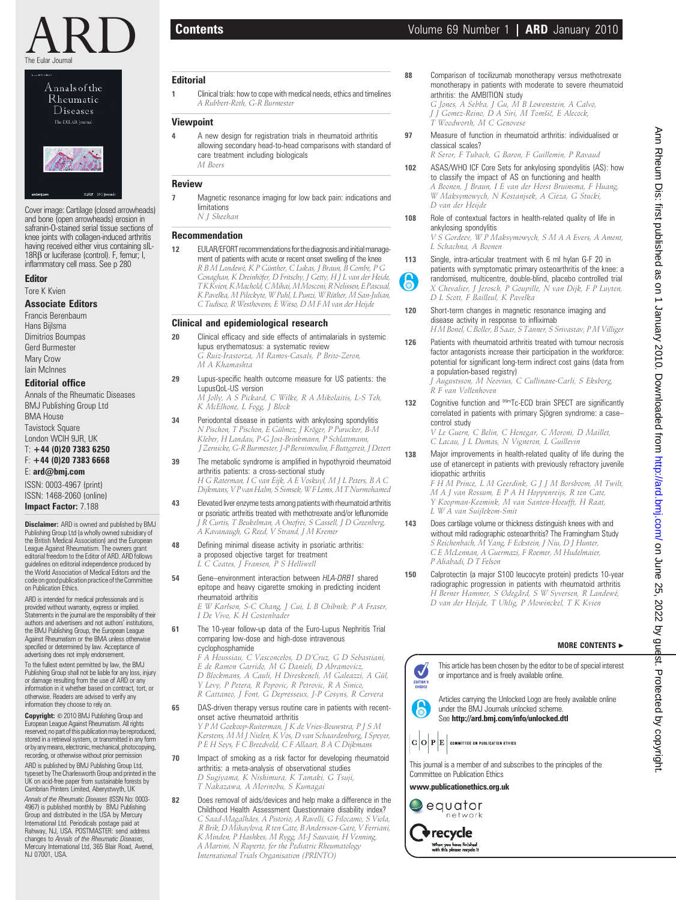

| Annalsofthe |                   |  |
|-------------|-------------------|--|
|             | Rheumatic         |  |
|             | <b>Diseases</b>   |  |
|             | The EULAR Journal |  |
|             |                   |  |
|             |                   |  |
|             |                   |  |
|             |                   |  |
|             |                   |  |

Cover image: Cartilage (closed arrowheads) and bone (open arrowheads) erosion in safranin-O-stained serial tissue sections of knee joints with collagen-induced arthritis having received either virus containing sIL-18RB or luciferase (control). F, femur; I, inflammatory cell mass. See p 280

cular BMRs

# Editor

Tore K Kvien

# Associate Editors

Francis Berenbaum Hans Bijlsma Dimitrios Boumpas Gerd Burmester Mary Crow Iain McInnes

# Editorial office

Annals of the Rheumatic Diseases BMJ Publishing Group Ltd BMA House Tavistock Square London WCIH 9JR, UK T: +44 (0)20 7383 6250

# F: +44 (0)20 7383 6668

E: ard@bmj.com

ISSN: 0003-4967 (print) ISSN: 1468-2060 (online) Impact Factor: 7.188

**Disclaimer:** ARD is owned and published by BMJ Publishing Group Ltd (a wholly owned subsidiary of the British Medical Association) and the European League Against Rheumatism. The owners grant editorial freedom to the Editor of ARD. ARD follows guidelines on editorial independence produced by the World Association of Medical Editors and the code on good publication practice of the Committee on Publication Ethics.

ARD is intended for medical professionals and is provided without warranty, express or implied. Statements in the journal are the responsibility of their authors and advertisers and not authors' institutions, the BMJ Publishing Group, the European League Against Rheumatism or the BMA unless otherwise specified or determined by law. Acceptance of advertising does not imply endorsement.

To the fullest extent permitted by law, the BMJ Publishing Group shall not be liable for any loss, injury or damage resulting from the use of ARD or any information in it whether based on contract, tort, or otherwise. Readers are advised to verify any information they choose to rely on.

Copyright: © 2010 BMJ Publishing Group and European League Against Rheumatism. All rights reserved; no part of this publication may be reproduced, stored in a retrieval system, or transmitted in any form orbyanymeans,electronic,mechanical,photocopying, recording, or otherwise without prior permission ARD is published by BMJ Publishing Group Ltd,

typeset by The Charlesworth Group and printed in the UK on acid-free paper from sustainable forests by Cambrian Printers Limited, Aberystwyth, UK Annals of the Rheumatic Diseases (ISSN No: 0003-

4967) is published monthly by BMJ Publishing Group and distributed in the USA by Mercury International Ltd. Periodicals postage paid at Rahway, NJ, USA. POSTMASTER: send address changes to *Annals of the Rheumatic Diseases,*<br>Mercury International Ltd, 365 Blair Road, Avenel, NJ 07001, USA.

### **Editorial**

1 Clinical trials: how to cope with medical needs, ethics and timelines A Rubbert-Roth, G-R Burmester

# Viewpoint

4 A new design for registration trials in rheumatoid arthritis allowing secondary head-to-head comparisons with standard of care treatment including biologicals M Boers

## Review

- 7 Magnetic resonance imaging for low back pain: indications and limitations N J Sheehan
	-

# Recommendation

12 EULAR/EFORT recommendations for the diagnosis and initial management of patients with acute or recent onset swelling of the knee R B M Landewé, K P Günther, C Lukas, J Braun, B Combe, P G Conaghan, K Dreinhöfer, D Fritschy, J Getty, H J L van der Heide, TKKvien,KMachold,CMihai,MMosconi,RNelissen,EPascual, K Pavelka, M Pileckyte, W Puhl, L Punzi, W Rüther, M San-Julian,<br>C Tudisco, R Westhovens, E Witso, D M F M van der Heijde

# Clinical and epidemiological research

- 20 Clinical efficacy and side effects of antimalarials in systemic lupus erythematosus: a systematic review G Ruiz-Irastorza, M Ramos-Casals, P Brito-Zeron, M A Khamashta
- 29 Lupus-specific health outcome measure for US patients: the LupusQoL-US version

M Jolly, A S Pickard, C Wilke, R A Mikolaitis, L-S Teh, K McElhone, L Fogg, J Block

- 34 Periodontal disease in patients with ankylosing spondylitis N Pischon, T Pischon, E Gülmez, J Kröger, P Purucker, B-M Kleber, H Landau, P-G Jost-Brinkmann, P Schlattmann, J Zernicke, G-R Burmester, J-P Bernimoulin, F Buttgereit, J Detert
- 39 The metabolic syndrome is amplified in hypothyroid rheumatoid arthritis patients: a cross-sectional study H G Raterman, I C van Eijk, A E Voskuyl, M J L Peters, B A C Dijkmans, V P van Halm, S Simsek, W F Lems, M T Nurmohamed
- 43 Elevated liver enzyme tests among patients with rheumatoid arthritis or psoriatic arthritis treated with methotrexate and/or leflunomide J R Curtis, T Beukelman, A Onofrei, S Cassell, J D Greenberg, A Kavanaugh, G Reed, V Strand, J M Kremer
- 48 Defining minimal disease activity in psoriatic arthritis: a proposed objective target for treatment L C Coates, J Fransen, P S Helliwell
- 54 Gene–environment interaction between HLA-DRB1 shared epitope and heavy cigarette smoking in predicting incident rheumatoid arthritis

E W Karlson, S-C Chang, J Cui, L B Chibnik, P A Fraser, I De Vivo, K H Costenbader

61 The 10-year follow-up data of the Euro-Lupus Nephritis Trial comparing low-dose and high-dose intravenous cyclophosphamide

F A Houssiau, C Vasconcelos, D D'Cruz, G D Sebastiani, E de Ramon Garrido, M G Danieli, D Abramovicz,<br>D Blockmans, A Cauli, H Direskeneli, M Galeazzi, A Gül, Y Levy, P Petera, R Popovic, R Petrovic, R A Sinico, R Cattaneo, J Font, G Depresseux, J-P Cosyns, R Cervera

65 DAS-driven therapy versus routine care in patients with recentonset active rheumatoid arthritis

Y P M Goekoop-Ruiterman, J K de Vries-Bouwstra, P J S M Kerstens, M M J Nielen, K Vos, D van Schaardenburg, I Speyer, P E H Seys, F C Breedveld, C F Allaart, B A C Dijkmans

- 70 Impact of smoking as a risk factor for developing rheumatoid arthritis: a meta-analysis of observational studies D Sugiyama, K Nishimura, K Tamaki, G Tsuji, T Nakazawa, A Morinobu, S Kumagai
- 82 Does removal of aids/devices and help make a difference in the Childhood Health Assessment Questionnaire disability index? C Saad-Magalhães, A Pistorio, A Ravelli, G Filocamo, S Viola, R Brik, D Mihaylova, R ten Cate, B Andersson-Gare, V Ferriani, K Minden, P Hashkes, M Rygg, M-J Sauvain, H Venning, A Martini, N Ruperto, for the Pediatric Rheumatology International Trials Organisation (PRINTO)

88 Comparison of tocilizumab monotherapy versus methotrexate monotherapy in patients with moderate to severe rheumatoid arthritis: the AMBITION study

G Jones, A Sebba, J Gu, M B Lowenstein, A Calvo, J J Gomez-Reino, D A Siri, M Tomšič, E Alecock, T Woodworth, M C Genovese

97 Measure of function in rheumatoid arthritis: individualised or classical scales? R Seror, F Tubach, G Baron, F Guillemin, P Ravaud

102 ASAS/WHO ICF Core Sets for ankylosing spondylitis (AS): how to classify the impact of AS on functioning and health A Boonen, J Braun, I E van der Horst Bruinsma, F Huang, W Maksymowych, N Kostanjsek, A Cieza, G Stucki,

D van der Heijde 108 Role of contextual factors in health-related quality of life in ankylosing spondylitis

V S Gordeev, W P Maksymowych, S M A A Evers, A Ament, L Schachna, A Boonen

113 Single, intra-articular treatment with 6 ml hylan G-F 20 in patients with symptomatic primary osteoarthritis of the knee: a randomised, multicentre, double-blind, placebo controlled trial X Chevalier, J Jerosch, P Goupille, N van Dijk, F P Luyten, D L Scott, F Bailleul, K Pavelka

120 Short-term changes in magnetic resonance imaging and disease activity in response to infliximab H M Bonel, C Boller, B Saar, S Tanner, S Srivastav, P M Villiger

6

126 Patients with rheumatoid arthritis treated with tumour necrosis factor antagonists increase their participation in the workforce: potential for significant long-term indirect cost gains (data from a population-based registry) J Augustsson, M Neovius, C Cullinane-Carli, S Eksborg,

R F van Vollenhoven

132 Cognitive function and <sup>99m</sup>Tc-ECD brain SPECT are significantly correlated in patients with primary Sjögren syndrome: a casecontrol study

V Le Guern, C Belin, C Henegar, C Moroni, D Maillet, C Lacau, J L Dumas, N Vigneron, L Guillevin

138 Major improvements in health-related quality of life during the use of etanercept in patients with previously refractory juvenile idiopathic arthritis

F H M Prince, L M Geerdink, G J J M Borsboom, M Twilt, M A J van Rossum, E P A H Hoppenreijs, R ten Cate, Y Koopman-Keemink, M van Santen-Hoeufft, H Raat, L W A van Suijlekom-Smit

- 143 Does cartilage volume or thickness distinguish knees with and without mild radiographic osteoarthritis? The Framingham Study S Reichenbach, M Yang, F Eckstein, J Niu, D J Hunter, C E McLennan, A Guermazi, F Roemer, M Hudelmaier, P Aliabadi, D T Felson
- 150 Calprotectin (a major S100 leucocyte protein) predicts 10-year radiographic progression in patients with rheumatoid arthritis H Berner Hammer, S Ødegård, S W Syversen, R Landewé, D van der Heijde, T Uhlig, P Mowinckel, T K Kvien

# MORE CONTENTS  $\triangleright$



 $\mathbf{C} \, \big| \mathbf{O} \big| \, \mathbf{P} \big| \mathbf{E} \, \big|$  committee on publication ethics

This journal is a member of and subscribes to the principles of the Committee on Publication Ethics

www.publicationethics.org.uk



**Trecycle** When you have finished<br>with this please recycle it